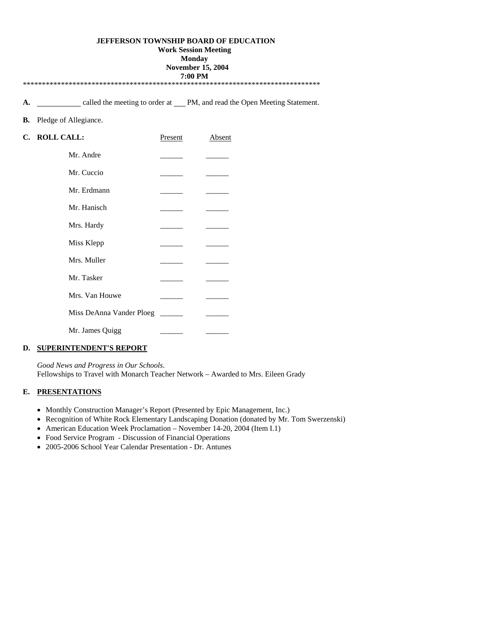### **JEFFERSON TOWNSHIP BOARD OF EDUCATION**

#### **Work Session Meeting**

**Monday** 

#### **November 15, 2004 7:00 PM**

A. <u>called the meeting to order at PM, and read the Open Meeting Statement.</u>

### **B.** Pledge of Allegiance.

| C. ROLL CALL:            | Present | Absent |
|--------------------------|---------|--------|
| Mr. Andre                |         |        |
| Mr. Cuccio               |         |        |
| Mr. Erdmann              |         |        |
| Mr. Hanisch              |         |        |
| Mrs. Hardy               |         |        |
| Miss Klepp               |         |        |
| Mrs. Muller              |         |        |
| Mr. Tasker               |         |        |
| Mrs. Van Houwe           |         |        |
| Miss DeAnna Vander Ploeg |         |        |
| Mr. James Quigg          |         |        |

# **D. SUPERINTENDENT'S REPORT**

 *Good News and Progress in Our Schools*. Fellowships to Travel with Monarch Teacher Network – Awarded to Mrs. Eileen Grady

## **E. PRESENTATIONS**

- Monthly Construction Manager's Report (Presented by Epic Management, Inc.)
- Recognition of White Rock Elementary Landscaping Donation (donated by Mr. Tom Swerzenski)
- American Education Week Proclamation November 14-20, 2004 (Item I.1)
- Food Service Program Discussion of Financial Operations
- 2005-2006 School Year Calendar Presentation Dr. Antunes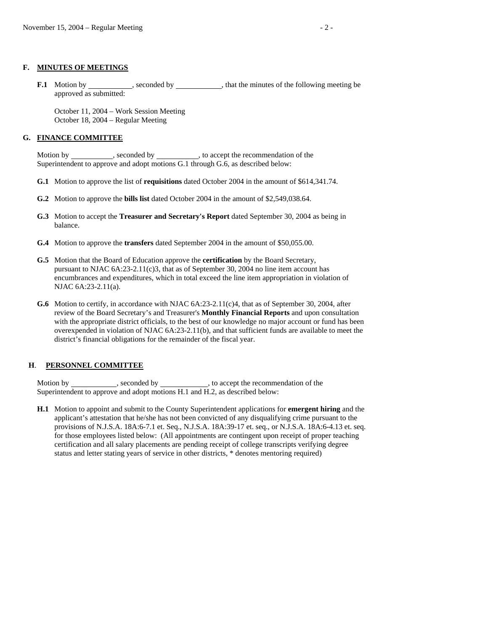#### **F. MINUTES OF MEETINGS**

**F.1** Motion by seconded by seconded by that the minutes of the following meeting be approved as submitted:

 October 11, 2004 – Work Session Meeting October 18, 2004 – Regular Meeting

#### **G. FINANCE COMMITTEE**

Motion by \_\_\_\_\_\_\_\_\_\_\_, seconded by \_\_\_\_\_\_\_\_\_\_, to accept the recommendation of the Superintendent to approve and adopt motions G.1 through G.6, as described below:

- **G.1** Motion to approve the list of **requisitions** dated October 2004 in the amount of \$614,341.74.
- **G.2** Motion to approve the **bills list** dated October 2004 in the amount of \$2,549,038.64.
- **G.3** Motion to accept the **Treasurer and Secretary's Report** dated September 30, 2004 as being in balance.
- **G.4** Motion to approve the **transfers** dated September 2004 in the amount of \$50,055.00.
- **G.5** Motion that the Board of Education approve the **certification** by the Board Secretary, pursuant to NJAC  $6A:23-2.11(c)3$ , that as of September 30, 2004 no line item account has encumbrances and expenditures, which in total exceed the line item appropriation in violation of NJAC 6A:23-2.11(a).
- **G.6** Motion to certify, in accordance with NJAC 6A:23-2.11(c)4, that as of September 30, 2004, after review of the Board Secretary's and Treasurer's **Monthly Financial Reports** and upon consultation with the appropriate district officials, to the best of our knowledge no major account or fund has been overexpended in violation of NJAC 6A:23-2.11(b), and that sufficient funds are available to meet the district's financial obligations for the remainder of the fiscal year.

#### **H**. **PERSONNEL COMMITTEE**

Motion by \_\_\_\_\_\_\_\_\_\_\_\_, seconded by \_\_\_\_\_\_\_\_\_\_\_\_, to accept the recommendation of the Superintendent to approve and adopt motions H.1 and H.2, as described below:

 **H.1** Motion to appoint and submit to the County Superintendent applications for **emergent hiring** and the applicant's attestation that he/she has not been convicted of any disqualifying crime pursuant to the provisions of N.J.S.A. 18A:6-7.1 et. Seq., N.J.S.A. 18A:39-17 et. seq., or N.J.S.A. 18A:6-4.13 et. seq. for those employees listed below: (All appointments are contingent upon receipt of proper teaching certification and all salary placements are pending receipt of college transcripts verifying degree status and letter stating years of service in other districts, \* denotes mentoring required)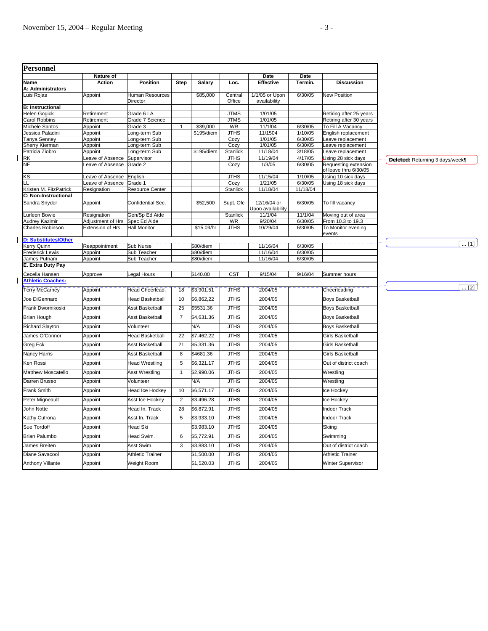| Personnel                                  |                     |                                    |                 |                          |                            |                                  |                    |                                                     |
|--------------------------------------------|---------------------|------------------------------------|-----------------|--------------------------|----------------------------|----------------------------------|--------------------|-----------------------------------------------------|
| Name                                       | Nature of<br>Action | <b>Position</b>                    | Step            |                          | Loc.                       | Date<br>Effective                | Date<br>Termin.    | <b>Discussion</b>                                   |
| A: Administrators                          |                     |                                    |                 | <b>Salary</b>            |                            |                                  |                    |                                                     |
| Luis Rojas                                 | Appoint             | <b>Juman Resources</b><br>Director |                 | \$85,000                 | Central<br>Office          | 1/1/05 or Upon<br>availability   | 6/30/05            | <b>New Position</b>                                 |
| <b>B: Instructional</b>                    |                     |                                    |                 |                          |                            |                                  |                    |                                                     |
| Helen Gogick                               | Retirement          | Grade 6 LA                         |                 |                          | <b>JTMS</b>                | 1/01/05                          |                    | Retiring after 25 years                             |
| arol Robbins                               | Retirement          | Grade 7 Science                    |                 |                          | <b>JTMS</b>                | 1/01/05                          |                    | Retiring after 30 years                             |
| Michele Santos                             | Appoint             | $3$ rade $3$                       |                 | \$39,000                 | <b>WR</b>                  | 11/1/04                          | 6/30/05            | <b>To Fill A Vacancy</b>                            |
| Jessica Paladini                           | Appoint             | ong-term Sub                       |                 | \$195/diem               | <b>JTHS</b>                | 11/1504                          | 1/10/05            | English replacement                                 |
| anya Senney<br>Sherry Kierman              | Appoint<br>Appoint  | ong-term Sub<br>ong-term Sub       |                 |                          | Cozy<br>Cozy               | 1/01/05<br>1/01/05               | 6/30/05<br>6/30/05 | eave replacement<br>eave replacement                |
| Patricia Ziobro                            | Appoint             | ong-term Sub                       |                 | \$195/diem               | Stanlick                   | 11/18/04                         | 3/18/05            | eave replacement                                    |
| RK                                         | eave of Absence     | Supervisor                         |                 |                          | <b>JTHS</b>                | 11/19/04                         | 4/17/05            | Jsing 28 sick days                                  |
|                                            | eave of Absence     | Grade 2                            |                 |                          | Cozy                       | 1/3/05                           | 6/30/05            | Requesting extension<br>of leave thru 6/30/05       |
| KS                                         | eave of Absence     | English                            |                 |                          | <b>JTHS</b>                | 11/15/04                         | 1/10/05            | Jsing 10 sick days                                  |
|                                            | eave of Absence     | Grade 1                            |                 |                          | Cozy                       | 1/21/05                          | 6/30/05            | Jsing 18 sick days                                  |
| Kristen M. FitzPatrick                     | Resignation         | Resource Center                    |                 |                          | <b>Stanlick</b>            | 11/18/04                         | 11/18/04           |                                                     |
| C: Non-Instructional<br>Sandra Snyder      | Appoint             | Confidential Sec.                  |                 | \$52,500                 | Supt. Ofc                  | 12/16/04 or<br>Upon availability | 6/30/05            | To fill vacancy                                     |
| Lurleen Bowie                              | Resignation         | Gen/Sp Ed Aide                     |                 |                          | Stanlick                   | 11/1/04                          | 11/1/04            | Moving out of area                                  |
| Audrey Kazimir                             | Adjustment of Hrs   | Spec Ed Aide                       |                 |                          | WR                         | 9/20/04                          | 6/30/05            | From 10.3 to 19.3                                   |
| Charles Robinson                           | Extension of Hrs    | Hall Monitor                       |                 | \$15.09/hr               | <b>JTHS</b>                | 10/29/04                         | 6/30/05            | To Monitor evening<br>events                        |
| <b>D: Substitutes/Other</b>                |                     |                                    |                 |                          |                            |                                  |                    |                                                     |
| <b>Kerry Quinn</b>                         | Reappointment       | Sub Nurse                          |                 | \$80/diem                |                            | 11/16/04                         | 6/30/05            |                                                     |
| Frederick Lewis                            | Appoint             | Sub Teacher                        |                 | \$80/diem                |                            | 11/16/04                         | 6/30/05            |                                                     |
| James Putnam<br>E. Extra Duty Pay          | Appoint             | Sub Teacher                        |                 | \$80/diem                |                            | 11/16/04                         | 6/30/05            |                                                     |
| Cecelia Hansen<br><b>Athletic Coaches:</b> | Approve             | Legal Hours                        |                 | \$140.00                 | <b>CST</b>                 | 9/15/04                          | 9/16/04            | Summer hours                                        |
| <b>Terry McCarney</b>                      | Appoint             | <b>Head Cheerlead.</b>             | $\overline{18}$ | \$3,901.51               | <b>JTHS</b>                | 2004/05                          |                    | Cheerleading                                        |
| Joe DiGennaro                              | Appoint             | Head Basketball                    | 10              | \$6,862,22               | <b>JTHS</b>                | 2004/05                          |                    | <b>Boys Basketball</b>                              |
| Frank Dwornikoski                          | Appoint             | Asst Basketball                    | 25              | \$5531.36                | <b>JTHS</b>                | 2004/05                          |                    | <b>Boys Basketball</b>                              |
| Brian Hough                                | Appoint             | <b>Asst Basketball</b>             | $\overline{7}$  | \$4,631.36               | <b>JTHS</b>                | 2004/05                          |                    | <b>Boys Basketball</b>                              |
| <b>Richard Slayton</b>                     | Appoint             | Volunteer                          |                 | N/A                      | <b>JTHS</b>                | 2004/05                          |                    | <b>Boys Basketball</b>                              |
| James O'Connor                             | Appoint             | <b>Head Basketball</b>             | 22              | \$7,462.22               | <b>JTHS</b>                | 2004/05                          |                    | Girls Basketball                                    |
| Greg Eck                                   | Appoint             | Asst Basketball                    | 21              | \$5,331.36               | <b>JTHS</b>                | 2004/05                          |                    | Girls Basketball                                    |
| Nancy Harris                               | Appoint             | <b>Asst Basketball</b>             | 8               | \$4681.36                | <b>JTHS</b>                | 2004/05                          |                    | Girls Basketball                                    |
| Ken Rossi                                  | Appoint             | Head Wrestling                     | 5               | \$6,321.17               | <b>JTHS</b>                | 2004/05                          |                    | Out of district coach                               |
| <b>Matthew Moscatello</b>                  | Appoint             | <b>Asst Wrestling</b>              | $\mathbf{1}$    | \$2,990.06               | <b>JTHS</b>                | 2004/05                          |                    | Wrestling                                           |
| Darren Bruseo                              | Appoint             | Volunteer                          |                 | N/A                      | <b>JTHS</b>                | 2004/05                          |                    | Wrestling                                           |
| Frank Smith                                | Appoint             | <b>Head Ice Hockey</b>             | 10              | \$6,571.17               | <b>JTHS</b>                | 2004/05                          |                    | Ice Hockey                                          |
| Peter Migneault                            | Appoint             | Asst Ice Hockey                    | $\overline{2}$  | \$3,496.28               | <b>JTHS</b>                | 2004/05                          |                    | Ice Hockey                                          |
| John Notte                                 | Appoint             | lead In. Track                     | 28              | \$6,872.91               | <b>JTHS</b>                | 2004/05                          |                    | Indoor Track                                        |
| Kathy Cutrona                              | Appoint             | Asst In. Track                     | 5               | \$3,933.10               | <b>JTHS</b>                | 2004/05                          |                    | <b>Indoor Track</b>                                 |
| Sue Tordoff                                | Appoint             | Head Ski                           |                 | \$3,983.10               | <b>JTHS</b>                | 2004/05                          |                    | Skiing                                              |
| Brian Palumbo                              | Appoint             | lead Swim.                         | 6               | \$5,772.91               | <b>JTHS</b>                | 2004/05                          |                    | Swimming                                            |
| James Breiten                              | Appoint             | Asst Swim.                         | 3               | \$3,883.10               | <b>JTHS</b>                | 2004/05                          |                    | Out of district coach                               |
| Diane Savacool<br>Anthony Villante         | Appoint             | <b>Athletic Trainer</b>            |                 | \$1,500.00<br>\$1,520.03 | <b>JTHS</b><br><b>JTHS</b> | 2004/05<br>2004/05               |                    | <b>Athletic Trainer</b><br><b>Winter Supervisor</b> |
|                                            | Appoint             | Weight Room                        |                 |                          |                            |                                  |                    |                                                     |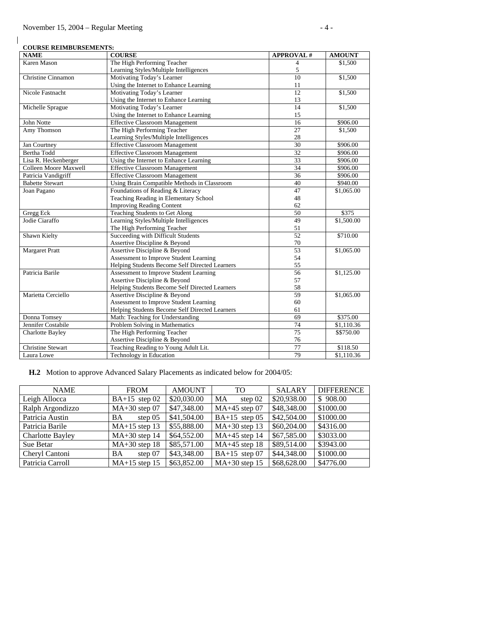$\overline{\phantom{a}}$ 

| <b>COURSE REIMBURSEMENTS:</b> |                                                |                          |               |  |  |  |
|-------------------------------|------------------------------------------------|--------------------------|---------------|--|--|--|
| <b>NAME</b>                   | <b>COURSE</b>                                  | <b>APPROVAL#</b>         | <b>AMOUNT</b> |  |  |  |
| Karen Mason                   | The High Performing Teacher                    | $\overline{\mathcal{L}}$ | \$1,500       |  |  |  |
|                               | Learning Styles/Multiple Intelligences         | 5                        |               |  |  |  |
| Christine Cinnamon            | Motivating Today's Learner                     | 10                       | \$1,500       |  |  |  |
|                               | Using the Internet to Enhance Learning         | 11                       |               |  |  |  |
| Nicole Fastnacht              | Motivating Today's Learner                     | 12                       | \$1,500       |  |  |  |
|                               | Using the Internet to Enhance Learning         | 13                       |               |  |  |  |
| Michelle Sprague              | Motivating Today's Learner                     | 14                       | \$1,500       |  |  |  |
|                               | Using the Internet to Enhance Learning         | 15                       |               |  |  |  |
| John Notte                    | <b>Effective Classroom Management</b>          | 16                       | \$906.00      |  |  |  |
| Amy Thomson                   | The High Performing Teacher                    | 27                       | \$1,500       |  |  |  |
|                               | Learning Styles/Multiple Intelligences         | 28                       |               |  |  |  |
| Jan Courtney                  | <b>Effective Classroom Management</b>          | 30                       | \$906.00      |  |  |  |
| Bertha Todd                   | <b>Effective Classroom Management</b>          | $\overline{32}$          | \$906.00      |  |  |  |
| Lisa R. Heckenberger          | Using the Internet to Enhance Learning         | 33                       | \$906.00      |  |  |  |
| Colleen Moore Maxwell         | <b>Effective Classroom Management</b>          | 34                       | \$906.00      |  |  |  |
| Patricia Vandigriff           | <b>Effective Classroom Management</b>          | 36                       | \$906.00      |  |  |  |
| <b>Babette Stewart</b>        | Using Brain Compatible Methods in Classroom    | 40                       | \$940.00      |  |  |  |
| Joan Pagano                   | Foundations of Reading & Literacy              | 47                       | \$1,065.00    |  |  |  |
|                               | Teaching Reading in Elementary School          | 48                       |               |  |  |  |
|                               | <b>Improving Reading Content</b>               | 62                       |               |  |  |  |
| Gregg Eck                     | <b>Teaching Students to Get Along</b>          | 50                       | \$375         |  |  |  |
| Jodie Ciaraffo                | Learning Styles/Multiple Intelligences         | 49                       | \$1,500.00    |  |  |  |
|                               | The High Performing Teacher                    | 51                       |               |  |  |  |
| Shawn Kielty                  | Succeeding with Difficult Students             | 52                       | \$710.00      |  |  |  |
|                               | Assertive Discipline & Beyond                  | 70                       |               |  |  |  |
| <b>Margaret Pratt</b>         | Assertive Discipline & Beyond                  | 53                       | \$1,065.00    |  |  |  |
|                               | Assessment to Improve Student Learning         | 54                       |               |  |  |  |
|                               | Helping Students Become Self Directed Learners | 55                       |               |  |  |  |
| Patricia Barile               | Assessment to Improve Student Learning         | 56                       | \$1,125.00    |  |  |  |
|                               | Assertive Discipline & Beyond                  | 57                       |               |  |  |  |
|                               | Helping Students Become Self Directed Learners | 58                       |               |  |  |  |
| Marietta Cerciello            | Assertive Discipline & Beyond                  | 59                       | \$1,065.00    |  |  |  |
|                               | Assessment to Improve Student Learning         | 60                       |               |  |  |  |
|                               | Helping Students Become Self Directed Learners | 61                       |               |  |  |  |
| Donna Tomsey                  | Math: Teaching for Understanding               | 69                       | \$375.00      |  |  |  |
| Jennifer Costabile            | Problem Solving in Mathematics                 | 74                       | \$1,110.36    |  |  |  |
| Charlotte Bayley              | The High Performing Teacher                    | 75                       | \$\$750.00    |  |  |  |
|                               | Assertive Discipline & Beyond                  | 76                       |               |  |  |  |
| <b>Christine Stewart</b>      | Teaching Reading to Young Adult Lit.           | 77                       | \$118.50      |  |  |  |
| Laura Lowe                    | Technology in Education                        | 79                       | \$1,110.36    |  |  |  |

 **H.2** Motion to approve Advanced Salary Placements as indicated below for 2004/05:

| <b>NAME</b>             | <b>FROM</b>            | <b>AMOUNT</b> | TO.              | <b>SALARY</b> | <b>DIFFERENCE</b> |
|-------------------------|------------------------|---------------|------------------|---------------|-------------------|
| Leigh Allocca           | $BA+15$ step 02        | \$20,030.00   | MA<br>step $02$  | \$20,938.00   | \$908.00          |
| Ralph Argondizzo        | $MA+30$ step 07        | \$47,348.00   | $MA+45$ step 07  | \$48,348.00   | \$1000.00         |
| Patricia Austin         | step $05$<br><b>BA</b> | \$41,504.00   | BA $+15$ step 05 | \$42,504.00   | \$1000.00         |
| Patricia Barile         | $MA+15$ step 13        | \$55,888.00   | $MA+30$ step 13  | \$60,204.00   | \$4316.00         |
| <b>Charlotte Bayley</b> | $MA+30$ step 14        | \$64,552.00   | $MA+45$ step 14  | \$67,585.00   | \$3033.00         |
| Sue Betar               | $MA+30$ step 18        | \$85,571.00   | $MA+45$ step 18  | \$89,514.00   | \$3943.00         |
| Cheryl Cantoni          | step 07<br><b>BA</b>   | \$43,348.00   | BA+15 step $07$  | \$44,348.00   | \$1000.00         |
| Patricia Carroll        | $MA+15$ step 15        | \$63,852.00   | $MA+30$ step 15  | \$68,628.00   | \$4776.00         |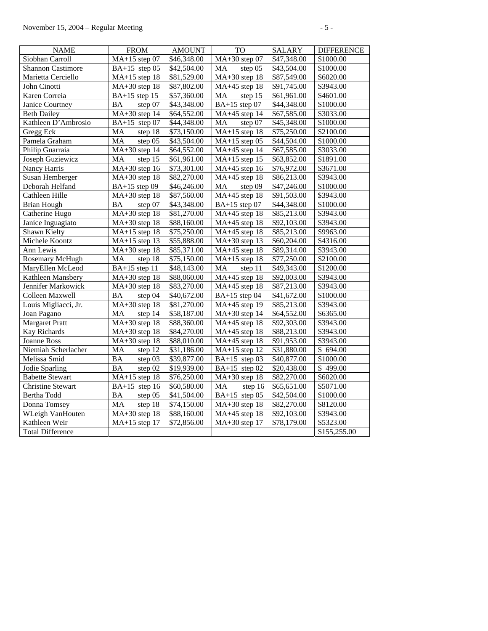| <b>NAME</b>              | <b>FROM</b>                                | <b>AMOUNT</b>           | <b>TO</b>                        | <b>SALARY</b>           | <b>DIFFERENCE</b>     |
|--------------------------|--------------------------------------------|-------------------------|----------------------------------|-------------------------|-----------------------|
| Siobhan Carroll          | MA+15 step 07                              | \$46,348.00             | $MA+30$ step 07                  | \$47,348.00             | \$1000.00             |
| <b>Shannon Castimore</b> | BA+15 step 05                              | \$42,504.00             | MA<br>step 05                    | \$43,504.00             | \$1000.00             |
| Marietta Cerciello       | $MA+15$ step 18                            | \$81,529.00             | $MA+30$ step 18                  | \$87,549.00             | \$6020.00             |
| John Cinotti             | $MA+30$ step 18                            | \$87,802.00             | $MA+45$ step 18                  | \$91,745.00             | \$3943.00             |
| Karen Correia            | $BA+15$ step 15                            | \$57,360.00             | MA<br>step 15                    | \$61,961.00             | \$4601.00             |
| Janice Courtney          | <b>BA</b><br>step 07                       | \$43,348.00             | $BA+15$ step 07                  | $\overline{$44,348.00}$ | \$1000.00             |
| <b>Beth Dailey</b>       | $\overline{MA+30}$ step 14                 | \$64,552.00             | MA+45 step 14                    | \$67,585.00             | \$3033.00             |
| Kathleen D'Ambrosio      | BA+15 step $07$                            | \$44,348.00             | $\rm MA$<br>step 07              | \$45,348.00             | \$1000.00             |
| Gregg Eck                | MA<br>step 18                              | \$73,150.00             | $MA+15$ step 18                  | \$75,250.00             | \$2100.00             |
| Pamela Graham            | MA<br>step 05                              | \$43,504.00             | $\overline{MA}$ +15 step 05      | \$44,504.00             | $\overline{$1000.00}$ |
| Philip Guarraia          | $MA+30$ step 14                            | \$64,552.00             | MA+45 step 14                    | \$67,585.00             | \$3033.00             |
| Joseph Guziewicz         | step 15<br>MA                              | \$61,961.00             | $\overline{MA+15}$ step 15       | \$63,852.00             | \$1891.00             |
| Nancy Harris             | $MA+30$ step 16                            | \$73,301.00             | $MA+45$ step 16                  | \$76,972.00             | \$3671.00             |
| Susan Hemberger          | $MA+30$ step 18                            | \$82,270.00             | MA+45 step 18                    | \$86,213.00             | \$3943.00             |
| Deborah Helfand          | BA+15 step 09                              | \$46,246.00             | $\rm MA$<br>step $0\overline{9}$ | \$47,246.00             | \$1000.00             |
| Cathleen Hille           | $\overline{MA} + 30$ step 18               | \$87,560.00             | $\overline{MA+45}$ step 18       | \$91,503.00             | \$3943.00             |
| <b>Brian Hough</b>       | <b>BA</b><br>step 07                       | \$43,348.00             | $BA+15$ step 07                  | \$44,348.00             | \$1000.00             |
| Catherine Hugo           | $MA+30$ step 18                            | \$81,270.00             | $MA+45$ step 18                  | \$85,213.00             | \$3943.00             |
| Janice Inguagiato        | $MA+30$ step 18                            | \$88,160.00             | $MA+45$ step 18                  | \$92,103.00             | \$3943.00             |
| Shawn Kielty             | $MA+15$ step 18                            | \$75,250.00             | $MA+45$ step 18                  | \$85,213.00             | \$9963.00             |
| Michele Koontz           | $MA+15$ step 13                            | \$55,888.00             | $MA+30$ step 13                  | \$60,204.00             | \$4316.00             |
| Ann Lewis                | $MA+30$ step 18                            | \$85,371.00             | MA+45 step 18                    | \$89,314.00             | \$3943.00             |
| Rosemary McHugh          | step 18<br>MA                              | $\overline{$}75,150.00$ | $MA+15$ step 18                  | $\overline{$}77,250.00$ | \$2100.00             |
| MaryEllen McLeod         | BA+15 step 11                              | \$48,143.00             | MA<br>step 11                    | \$49,343.00             | \$1200.00             |
| Kathleen Mansbery        | $MA+30$ step 18                            | \$88,060.00             | $MA+45$ step 18                  | \$92,003.00             | \$3943.00             |
| Jennifer Markowick       | MA+30 step 18                              | \$83,270.00             | MA+45 step 18                    | \$87,213.00             | \$3943.00             |
| Colleen Maxwell          | step 04<br>BA                              | \$40,672.00             | BA+15 step 04                    | \$41,672.00             | \$1000.00             |
| Louis Migliacci, Jr.     | $\overline{MA} + 30$ step 18               | \$81,270.00             | $MA+45$ step 19                  | \$85,213.00             | \$3943.00             |
| Joan Pagano              | step 14<br>MA                              | \$58,187.00             | $MA+30$ step 14                  | \$64,552.00             | \$6365.00             |
| <b>Margaret Pratt</b>    | $\overline{MA+30}$ step 18                 | \$88,360.00             | $MA+45$ step 18                  | $\overline{$}92,303.00$ | \$3943.00             |
| <b>Kay Richards</b>      | $MA+30$ step 18                            | \$84,270.00             | $MA+45$ step 18                  | \$88,213.00             | \$3943.00             |
| Joanne Ross              | MA+30 step 18                              | \$88,010.00             | $MA+45$ step 18                  | \$91,953.00             | \$3943.00             |
| Niemiah Scherlacher      | MA<br>step 12                              | \$31,186.00             | $MA+15$ step 12                  | \$31,880.00             | \$694.00              |
| Melissa Smid             | <b>BA</b><br>step 03                       | \$39,877.00             | BA+15 step $03$                  | \$40,877.00             | \$1000.00             |
| Jodie Sparling           | <b>BA</b><br>step 02                       | \$19,939.00             | BA+15 step $02$                  | \$20,438.00             | \$499.00              |
| <b>Babette Stewart</b>   | $MA+15$ step 18                            | \$76,250.00             | MA+30 step 18                    | \$82,270.00             | \$6020.00             |
| <b>Christine Stewart</b> | BA+15 step $16$                            | \$60,580.00             | MA<br>step 16                    | \$65,651.00             | \$5071.00             |
| Bertha Todd              | <b>BA</b><br>step 05                       | \$41,504.00             | $\overline{BA+15}$ step 05       | \$42,504.00             | \$1000.00             |
| Donna Tomsey             | MA<br>step 18                              | \$74,150.00             | $MA+30$ step 18                  | \$82,270.00             | \$8120.00             |
| WLeigh VanHouten         | $MA+30$ step 18                            | \$88,160.00             | MA+45 step 18                    | \$92,103.00             | \$3943.00             |
| Kathleen Weir            | $\overline{\text{MA}+15 \text{ step } 17}$ | \$72,856.00             | MA+30 step 17                    | \$78,179.00             | \$5323.00             |
| <b>Total Difference</b>  |                                            |                         |                                  |                         | \$155,255.00          |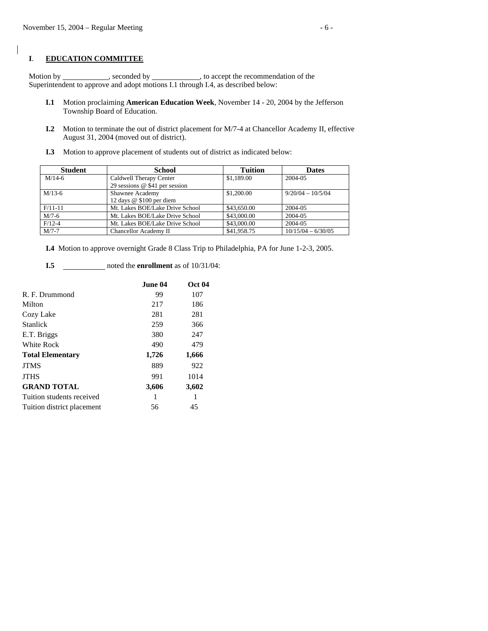### **I**. **EDUCATION COMMITTEE**

Motion by seconded by seconded by  $\sim$ , to accept the recommendation of the Superintendent to approve and adopt motions I.1 through I.4, as described below:

- **I.1** Motion proclaiming **American Education Week**, November 14 20, 2004 by the Jefferson Township Board of Education.
- **I.2** Motion to terminate the out of district placement for M/7-4 at Chancellor Academy II, effective August 31, 2004 (moved out of district).
- **I.3** Motion to approve placement of students out of district as indicated below:

| <b>Student</b> | <b>School</b>                    | <b>Tuition</b> | <b>Dates</b>         |
|----------------|----------------------------------|----------------|----------------------|
| $M/14-6$       | Caldwell Therapy Center          | \$1,189.00     | 2004-05              |
|                | 29 sessions $@$ \$41 per session |                |                      |
| $M/13-6$       | Shawnee Academy                  | \$1,200.00     | $9/20/04 - 10/5/04$  |
|                | 12 days @ \$100 per diem         |                |                      |
| $F/11-11$      | Mt. Lakes BOE/Lake Drive School  | \$43,650.00    | 2004-05              |
| $M/7-6$        | Mt. Lakes BOE/Lake Drive School  | \$43,000.00    | 2004-05              |
| $F/12-4$       | Mt. Lakes BOE/Lake Drive School  | \$43,000.00    | 2004-05              |
| $M/7-7$        | Chancellor Academy II            | \$41,958.75    | $10/15/04 - 6/30/05$ |

 **I.4** Motion to approve overnight Grade 8 Class Trip to Philadelphia, PA for June 1-2-3, 2005.

**I.5 noted the enrollment** as of 10/31/04:

|                            | June 04 | <b>Oct 04</b> |
|----------------------------|---------|---------------|
| R. F. Drummond             | 99      | 107           |
| Milton                     | 217     | 186           |
| Cozy Lake                  | 281     | 281           |
| <b>Stanlick</b>            | 259     | 366           |
| E.T. Briggs                | 380     | 247           |
| <b>White Rock</b>          | 490     | 479           |
| <b>Total Elementary</b>    | 1,726   | 1,666         |
| <b>JTMS</b>                | 889     | 922           |
| <b>JTHS</b>                | 991     | 1014          |
| <b>GRAND TOTAL</b>         | 3,606   | 3,602         |
| Tuition students received  | 1       | 1             |
| Tuition district placement | 56      | 45            |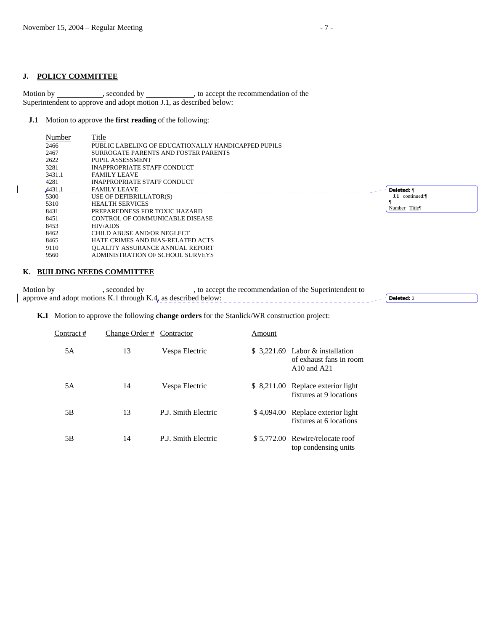## **J. POLICY COMMITTEE**

 $\overline{\phantom{a}}$ 

 $\overline{\phantom{a}}$ 

Motion by \_\_\_\_\_\_\_\_\_\_\_, seconded by \_\_\_\_\_\_\_\_\_\_, to accept the recommendation of the Superintendent to approve and adopt motion J.1, as described below:

### **J.1** Motion to approve the **first reading** of the following:

| Number | Title                                               |                |
|--------|-----------------------------------------------------|----------------|
| 2466   | PUBLIC LABELING OF EDUCATIONALLY HANDICAPPED PUPILS |                |
| 2467   | SURROGATE PARENTS AND FOSTER PARENTS                |                |
| 2622   | PUPIL ASSESSMENT                                    |                |
| 3281   | INAPPROPRIATE STAFF CONDUCT                         |                |
| 3431.1 | <b>FAMILY LEAVE</b>                                 |                |
| 4281   | INAPPROPRIATE STAFF CONDUCT                         |                |
| 4431.1 | <b>FAMILY LEAVE</b>                                 | Deleted: ¶     |
| 5300   | USE OF DEFIBRILLATOR(S)                             | J.1 continued: |
| 5310   | <b>HEALTH SERVICES</b>                              | Number Title   |
| 8431   | PREPAREDNESS FOR TOXIC HAZARD                       |                |
| 8451   | CONTROL OF COMMUNICABLE DISEASE                     |                |
| 8453   | HIV/AIDS                                            |                |
| 8462   | CHILD ABUSE AND/OR NEGLECT                          |                |
| 8465   | HATE CRIMES AND BIAS-RELATED ACTS                   |                |
| 9110   | <b>OUALITY ASSURANCE ANNUAL REPORT</b>              |                |
| 9560   | ADMINISTRATION OF SCHOOL SURVEYS                    |                |
|        |                                                     |                |

### **K. BUILDING NEEDS COMMITTEE**

| Motion by                                                      | ) accept the recommendation of the Superintendent to |  |
|----------------------------------------------------------------|------------------------------------------------------|--|
| approve and adopt motions K.1 through K.4, as described below: |                                                      |  |

**K.1** Motion to approve the following **change orders** for the Stanlick/WR construction project:

| Contract# | Change Order # Contractor |                     | Amount |                                                                                |
|-----------|---------------------------|---------------------|--------|--------------------------------------------------------------------------------|
| 5A        | 13                        | Vespa Electric      |        | $$3,221.69$ Labor & installation<br>of exhaust fans in room<br>$A10$ and $A21$ |
| 5A        | 14                        | Vespa Electric      |        | \$ 8,211.00 Replace exterior light<br>fixtures at 9 locations                  |
| 5B        | 13                        | P.J. Smith Electric |        | \$4,094.00 Replace exterior light<br>fixtures at 6 locations                   |
| 5Β        | 14                        | P.J. Smith Electric |        | \$5,772.00 Rewire/relocate roof<br>top condensing units                        |

 $\Box$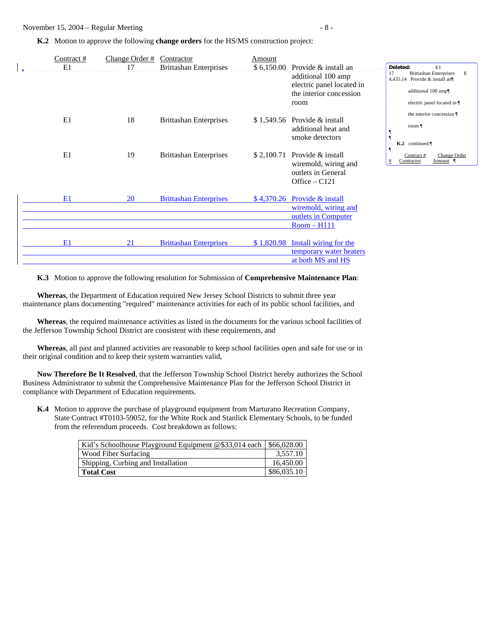**K.2** Motion to approve the following **change orders** for the HS/MS construction project:

| Contract # | Change Order $#$ | Contractor                    | Amount     |                               |                                                                             |
|------------|------------------|-------------------------------|------------|-------------------------------|-----------------------------------------------------------------------------|
| E1         | 17               | <b>Brittashan Enterprises</b> | \$6,150.00 | Provide & install an          | Deleted:<br>E1                                                              |
|            |                  |                               |            | additional 100 amp            | <b>Brittashan Enterprises</b><br>17.<br>\$<br>4,435.14 Provide & install an |
|            |                  |                               |            | electric panel located in     |                                                                             |
|            |                  |                               |            | the interior concession       | additional 100 amp¶                                                         |
|            |                  |                               |            | room                          | electric panel located in ¶                                                 |
|            |                  |                               |            |                               | the interior concession ¶                                                   |
| E1         | 18               | <b>Brittashan Enterprises</b> |            | $$1,549.56$ Provide & install | room $\P$                                                                   |
|            |                  |                               |            | additional heat and           |                                                                             |
|            |                  |                               |            | smoke detectors               | K.2 continued:                                                              |
| E1         | 19               | <b>Brittashan Enterprises</b> | \$2,100.71 | Provide & install             | Change Order<br>Contract#                                                   |
|            |                  |                               |            | wiremold, wiring and          | Contractor<br>Amount<br>#                                                   |
|            |                  |                               |            | outlets in General            |                                                                             |
|            |                  |                               |            | Office $-$ C121               |                                                                             |
|            |                  |                               |            |                               |                                                                             |
| E1         | 20               | <b>Brittashan Enterprises</b> | \$4,370.26 | Provide & install             |                                                                             |
|            |                  |                               |            | wiremold, wiring and          |                                                                             |
|            |                  |                               |            | outlets in Computer           |                                                                             |
|            |                  |                               |            | $Room - H111$                 |                                                                             |
|            |                  |                               |            |                               |                                                                             |
| E1         | 21               | <b>Brittashan Enterprises</b> | \$1,820.98 | <b>Install wiring for the</b> |                                                                             |
|            |                  |                               |            | temporary water heaters       |                                                                             |
|            |                  |                               |            | at both MS and HS             |                                                                             |

 **K.3** Motion to approve the following resolution for Submission of **Comprehensive Maintenance Plan**:

 **Whereas**, the Department of Education required New Jersey School Districts to submit three year maintenance plans documenting "required" maintenance activities for each of its public school facilities, and

 **Whereas**, the required maintenance activities as listed in the documents for the various school facilities of the Jefferson Township School District are consistent with these requirements, and

 **Whereas**, all past and planned activities are reasonable to keep school facilities open and safe for use or in their original condition and to keep their system warranties valid,

 **Now Therefore Be It Resolved**, that the Jefferson Township School District hereby authorizes the School Business Administrator to submit the Comprehensive Maintenance Plan for the Jefferson School District in compliance with Department of Education requirements.

 **K.4** Motion to approve the purchase of playground equipment from Marturano Recreation Company, State Contract #T0103-59052, for the White Rock and Stanlick Elementary Schools, to be funded from the referendum proceeds. Cost breakdown as follows:

| Kid's Schoolhouse Playground Equipment @\$33,014 each   \$66,028.00 |             |
|---------------------------------------------------------------------|-------------|
| Wood Fiber Surfacing                                                | 3.557.10    |
| Shipping, Curbing and Installation                                  | 16,450.00   |
| <b>Total Cost</b>                                                   | \$86,035.10 |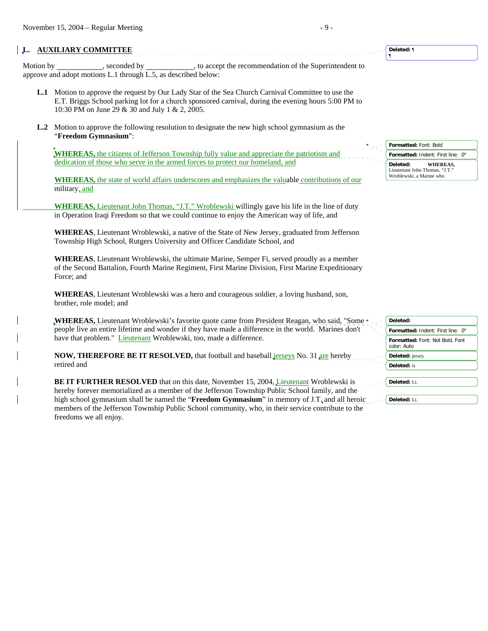# **L. AUXILIARY COMMITTEE**

Motion by seconded by seconded by seconded by seconded by seconded by seconded by seconded by seconded by seconded by seconded by seconded by seconded by seconded by seconded by seconded by seconded by seconded by seconded approve and adopt motions L.1 through L.5, as described below:

- **L.1** Motion to approve the request by Our Lady Star of the Sea Church Carnival Committee to use the E.T. Briggs School parking lot for a church sponsored carnival, during the evening hours 5:00 PM to 10:30 PM on June 29 & 30 and July 1 & 2, 2005.
- **L.2** Motion to approve the following resolution to designate the new high school gymnasium as the "**Freedom Gymnasium**":

**WHEREAS,** the citizens of Jefferson Township fully value and appreciate the patriotism and dedication of those who serve in the armed forces to protect our homeland, and

 **WHEREAS,** the state of world affairs underscores and emphasizes the valuable contributions of our military, and

 **WHEREAS,** Lieutenant John Thomas, "J.T." Wroblewski willingly gave his life in the line of duty in Operation Iraqi Freedom so that we could continue to enjoy the American way of life, and

 **WHEREAS**, Lieutenant Wroblewski, a native of the State of New Jersey, graduated from Jefferson Township High School, Rutgers University and Officer Candidate School, and

**WHEREAS**, Lieutenant Wroblewski, the ultimate Marine, Semper Fi, served proudly as a member of the Second Battalion, Fourth Marine Regiment, First Marine Division, First Marine Expeditionary Force; and

**WHEREAS**, Lieutenant Wroblewski was a hero and courageous soldier, a loving husband, son, brother, role model; and

**WHEREAS, Lieutenant Wroblewski's favorite quote came from President Reagan, who said, "Some**  $\star$ people live an entire lifetime and wonder if they have made a difference in the world. Marines don't have that problem." Lieutenant Wroblewski, too, made a difference.

**NOW, THEREFORE BE IT RESOLVED,** that football and baseball *jerseys* No. 31 are hereby retired and

**BE IT FURTHER RESOLVED** that on this date, November 15, 2004, Lieutenant Wroblewski is hereby forever memorialized as a member of the Jefferson Township Public School family, and the high school gymnasium shall be named the "**Freedom Gymnasium**" in memory of J.T<sub>\*</sub> and all heroic members of the Jefferson Township Public School community, who, in their service contribute to the freedoms we all enjoy.

**Formatted:** Font: Bold **Formatted:** Indent: First line: 0" **Deleted: WHEREAS,** Lieutenant John Thomas, "J.T." Wroblewski, a Marine who

**Deleted:** ¶ ¶

| Deleted:                                       |
|------------------------------------------------|
| Formatted: Indent: First line: 0"              |
| Formatted: Font: Not Bold, Font<br>color: Auto |
| <b>Deleted:</b> jersey                         |
| <b>Deleted:</b> is                             |
| Deleted: Lt.                                   |
| <b>Deleted:</b> Lt.                            |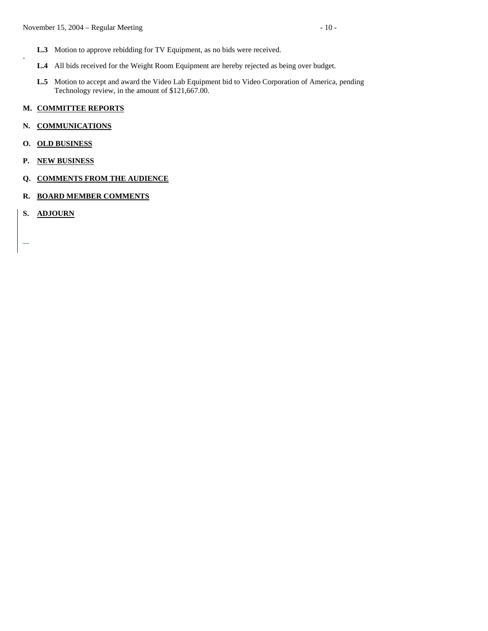- L.3 Motion to approve rebidding for TV Equipment, as no bids were received.
- **L.4** All bids received for the Weight Room Equipment are hereby rejected as being over budget.
- **L.5** Motion to accept and award the Video Lab Equipment bid to Video Corporation of America, pending Technology review, in the amount of \$121,667.00.

## **M. COMMITTEE REPORTS**

### **N. COMMUNICATIONS**

- **O. OLD BUSINESS**
- **P. NEW BUSINESS**
- **Q. COMMENTS FROM THE AUDIENCE**
- **R. BOARD MEMBER COMMENTS**
- **S. ADJOURN**